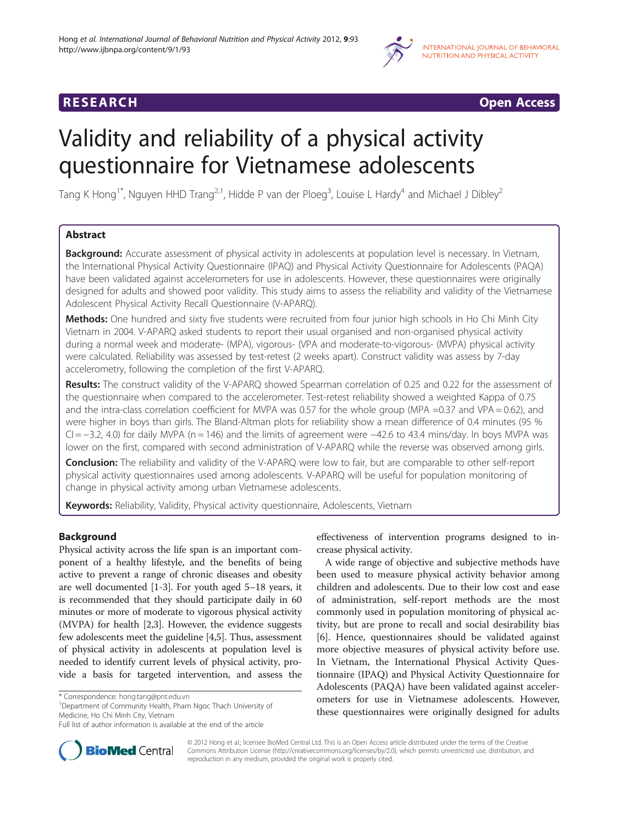

## **RESEARCH RESEARCH CONSUMING ACCESS**

# Validity and reliability of a physical activity questionnaire for Vietnamese adolescents

Tang K Hong<sup>1\*</sup>, Nguyen HHD Trang<sup>2,1</sup>, Hidde P van der Ploeg<sup>3</sup>, Louise L Hardy<sup>4</sup> and Michael J Dibley<sup>2</sup>

## Abstract

**Background:** Accurate assessment of physical activity in adolescents at population level is necessary. In Vietnam, the International Physical Activity Questionnaire (IPAQ) and Physical Activity Questionnaire for Adolescents (PAQA) have been validated against accelerometers for use in adolescents. However, these questionnaires were originally designed for adults and showed poor validity. This study aims to assess the reliability and validity of the Vietnamese Adolescent Physical Activity Recall Questionnaire (V-APARQ).

Methods: One hundred and sixty five students were recruited from four junior high schools in Ho Chi Minh City Vietnam in 2004. V-APARQ asked students to report their usual organised and non-organised physical activity during a normal week and moderate- (MPA), vigorous- (VPA and moderate-to-vigorous- (MVPA) physical activity were calculated. Reliability was assessed by test-retest (2 weeks apart). Construct validity was assess by 7-day accelerometry, following the completion of the first V-APARQ.

Results: The construct validity of the V-APARQ showed Spearman correlation of 0.25 and 0.22 for the assessment of the questionnaire when compared to the accelerometer. Test-retest reliability showed a weighted Kappa of 0.75 and the intra-class correlation coefficient for MVPA was 0.57 for the whole group (MPA =0.37 and VPA = 0.62), and were higher in boys than girls. The Bland-Altman plots for reliability show a mean difference of 0.4 minutes (95 %  $Cl = -3.2$ , 4.0) for daily MVPA (n = 146) and the limits of agreement were  $-42.6$  to 43.4 mins/day. In boys MVPA was lower on the first, compared with second administration of V-APARQ while the reverse was observed among girls.

Conclusion: The reliability and validity of the V-APARQ were low to fair, but are comparable to other self-report physical activity questionnaires used among adolescents. V-APARQ will be useful for population monitoring of change in physical activity among urban Vietnamese adolescents.

Keywords: Reliability, Validity, Physical activity questionnaire, Adolescents, Vietnam

## Background

Physical activity across the life span is an important component of a healthy lifestyle, and the benefits of being active to prevent a range of chronic diseases and obesity are well documented [\[1](#page-5-0)-[3](#page-5-0)]. For youth aged 5–18 years, it is recommended that they should participate daily in 60 minutes or more of moderate to vigorous physical activity (MVPA) for health [[2,3\]](#page-5-0). However, the evidence suggests few adolescents meet the guideline [\[4,5](#page-5-0)]. Thus, assessment of physical activity in adolescents at population level is needed to identify current levels of physical activity, provide a basis for targeted intervention, and assess the

<sup>1</sup>Department of Community Health, Pham Ngoc Thach University of Medicine, Ho Chi Minh City, Vietnam

effectiveness of intervention programs designed to increase physical activity.

A wide range of objective and subjective methods have been used to measure physical activity behavior among children and adolescents. Due to their low cost and ease of administration, self-report methods are the most commonly used in population monitoring of physical activity, but are prone to recall and social desirability bias [[6\]](#page-5-0). Hence, questionnaires should be validated against more objective measures of physical activity before use. In Vietnam, the International Physical Activity Questionnaire (IPAQ) and Physical Activity Questionnaire for Adolescents (PAQA) have been validated against accelerometers for use in Vietnamese adolescents. However, these questionnaires were originally designed for adults



© 2012 Hong et al.; licensee BioMed Central Ltd. This is an Open Access article distributed under the terms of the Creative Commons Attribution License [\(http://creativecommons.org/licenses/by/2.0\)](http://creativecommons.org/licenses/by/2.0), which permits unrestricted use, distribution, and reproduction in any medium, provided the original work is properly cited.

<sup>\*</sup> Correspondence: [hong.tang@pnt.edu.vn](mailto:hong.tang@pnt.edu.vn) <sup>1</sup>

Full list of author information is available at the end of the article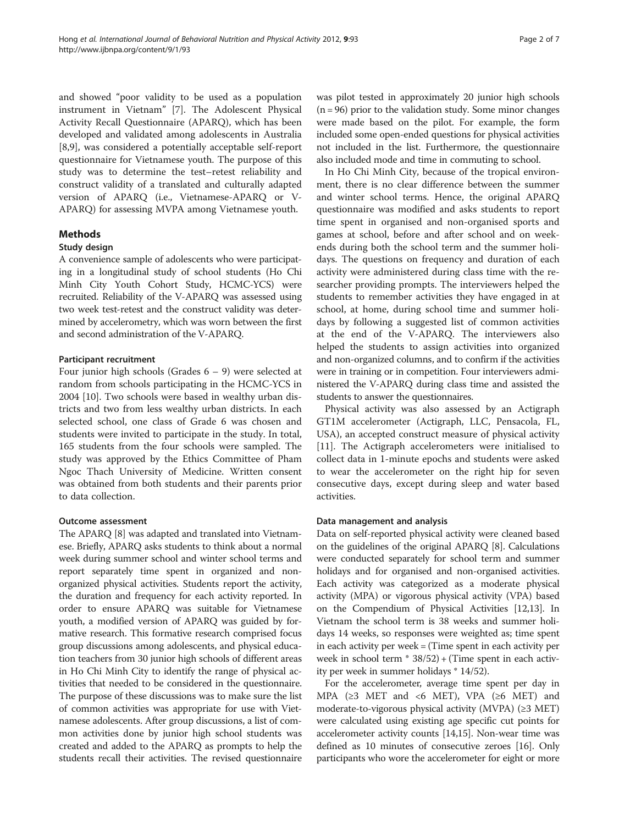and showed "poor validity to be used as a population instrument in Vietnam" [[7\]](#page-5-0). The Adolescent Physical Activity Recall Questionnaire (APARQ), which has been developed and validated among adolescents in Australia [[8,](#page-5-0)[9\]](#page-6-0), was considered a potentially acceptable self-report questionnaire for Vietnamese youth. The purpose of this study was to determine the test–retest reliability and construct validity of a translated and culturally adapted version of APARQ (i.e., Vietnamese-APARQ or V-APARQ) for assessing MVPA among Vietnamese youth.

## Methods

### Study design

A convenience sample of adolescents who were participating in a longitudinal study of school students (Ho Chi Minh City Youth Cohort Study, HCMC-YCS) were recruited. Reliability of the V-APARQ was assessed using two week test-retest and the construct validity was determined by accelerometry, which was worn between the first and second administration of the V-APARQ.

#### Participant recruitment

Four junior high schools (Grades 6 – 9) were selected at random from schools participating in the HCMC-YCS in 2004 [\[10](#page-6-0)]. Two schools were based in wealthy urban districts and two from less wealthy urban districts. In each selected school, one class of Grade 6 was chosen and students were invited to participate in the study. In total, 165 students from the four schools were sampled. The study was approved by the Ethics Committee of Pham Ngoc Thach University of Medicine. Written consent was obtained from both students and their parents prior to data collection.

## Outcome assessment

The APARQ [\[8\]](#page-5-0) was adapted and translated into Vietnamese. Briefly, APARQ asks students to think about a normal week during summer school and winter school terms and report separately time spent in organized and nonorganized physical activities. Students report the activity, the duration and frequency for each activity reported. In order to ensure APARQ was suitable for Vietnamese youth, a modified version of APARQ was guided by formative research. This formative research comprised focus group discussions among adolescents, and physical education teachers from 30 junior high schools of different areas in Ho Chi Minh City to identify the range of physical activities that needed to be considered in the questionnaire. The purpose of these discussions was to make sure the list of common activities was appropriate for use with Vietnamese adolescents. After group discussions, a list of common activities done by junior high school students was created and added to the APARQ as prompts to help the students recall their activities. The revised questionnaire

was pilot tested in approximately 20 junior high schools  $(n = 96)$  prior to the validation study. Some minor changes were made based on the pilot. For example, the form included some open-ended questions for physical activities not included in the list. Furthermore, the questionnaire also included mode and time in commuting to school.

In Ho Chi Minh City, because of the tropical environment, there is no clear difference between the summer and winter school terms. Hence, the original APARQ questionnaire was modified and asks students to report time spent in organised and non-organised sports and games at school, before and after school and on weekends during both the school term and the summer holidays. The questions on frequency and duration of each activity were administered during class time with the researcher providing prompts. The interviewers helped the students to remember activities they have engaged in at school, at home, during school time and summer holidays by following a suggested list of common activities at the end of the V-APARQ. The interviewers also helped the students to assign activities into organized and non-organized columns, and to confirm if the activities were in training or in competition. Four interviewers administered the V-APARQ during class time and assisted the students to answer the questionnaires.

Physical activity was also assessed by an Actigraph GT1M accelerometer (Actigraph, LLC, Pensacola, FL, USA), an accepted construct measure of physical activity [[11\]](#page-6-0). The Actigraph accelerometers were initialised to collect data in 1-minute epochs and students were asked to wear the accelerometer on the right hip for seven consecutive days, except during sleep and water based activities.

#### Data management and analysis

Data on self-reported physical activity were cleaned based on the guidelines of the original APARQ [\[8](#page-5-0)]. Calculations were conducted separately for school term and summer holidays and for organised and non-organised activities. Each activity was categorized as a moderate physical activity (MPA) or vigorous physical activity (VPA) based on the Compendium of Physical Activities [[12,13](#page-6-0)]. In Vietnam the school term is 38 weeks and summer holidays 14 weeks, so responses were weighted as; time spent in each activity per week = (Time spent in each activity per week in school term  $* 38/52$ ) + (Time spent in each activity per week in summer holidays \* 14/52).

For the accelerometer, average time spent per day in MPA ( $\geq$ 3 MET and <6 MET), VPA ( $\geq$ 6 MET) and moderate-to-vigorous physical activity (MVPA) (≥3 MET) were calculated using existing age specific cut points for accelerometer activity counts [\[14,15](#page-6-0)]. Non-wear time was defined as 10 minutes of consecutive zeroes [\[16\]](#page-6-0). Only participants who wore the accelerometer for eight or more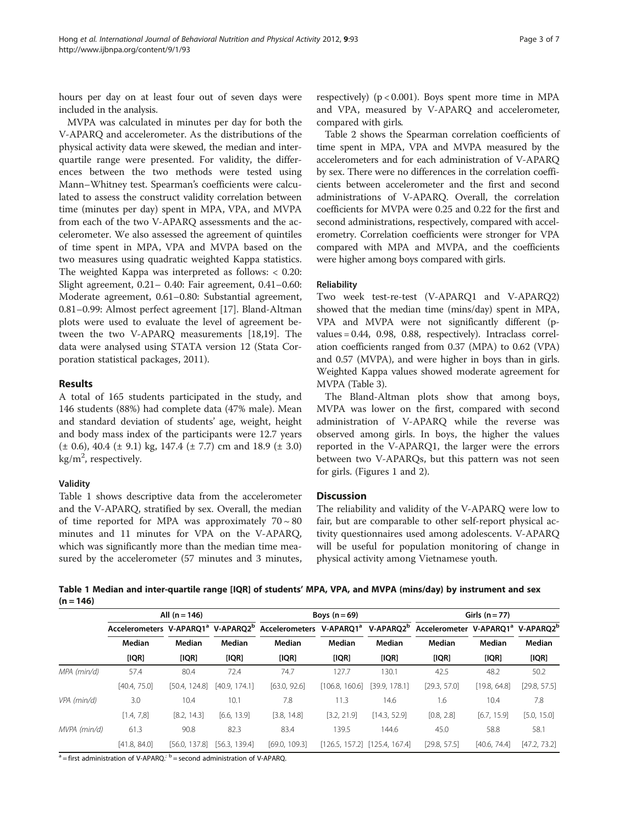hours per day on at least four out of seven days were included in the analysis.

MVPA was calculated in minutes per day for both the V-APARQ and accelerometer. As the distributions of the physical activity data were skewed, the median and interquartile range were presented. For validity, the differences between the two methods were tested using Mann–Whitney test. Spearman's coefficients were calculated to assess the construct validity correlation between time (minutes per day) spent in MPA, VPA, and MVPA from each of the two V-APARQ assessments and the accelerometer. We also assessed the agreement of quintiles of time spent in MPA, VPA and MVPA based on the two measures using quadratic weighted Kappa statistics. The weighted Kappa was interpreted as follows: < 0.20: Slight agreement, 0.21– 0.40: Fair agreement, 0.41–0.60: Moderate agreement, 0.61–0.80: Substantial agreement, 0.81–0.99: Almost perfect agreement [[17\]](#page-6-0). Bland-Altman plots were used to evaluate the level of agreement between the two V-APARQ measurements [[18,19\]](#page-6-0). The data were analysed using STATA version 12 (Stata Corporation statistical packages, 2011).

## Results

A total of 165 students participated in the study, and 146 students (88%) had complete data (47% male). Mean and standard deviation of students' age, weight, height and body mass index of the participants were 12.7 years  $(\pm 0.6)$ , 40.4  $(\pm 9.1)$  kg, 147.4  $(\pm 7.7)$  cm and 18.9  $(\pm 3.0)$ kg/m<sup>2</sup>, respectively.

## Validity

Table 1 shows descriptive data from the accelerometer and the V-APARQ, stratified by sex. Overall, the median of time reported for MPA was approximately  $70 \sim 80$ minutes and 11 minutes for VPA on the V-APARQ, which was significantly more than the median time measured by the accelerometer (57 minutes and 3 minutes, respectively)  $(p < 0.001)$ . Boys spent more time in MPA and VPA, measured by V-APARQ and accelerometer, compared with girls.

Table [2](#page-3-0) shows the Spearman correlation coefficients of time spent in MPA, VPA and MVPA measured by the accelerometers and for each administration of V-APARQ by sex. There were no differences in the correlation coefficients between accelerometer and the first and second administrations of V-APARQ. Overall, the correlation coefficients for MVPA were 0.25 and 0.22 for the first and second administrations, respectively, compared with accelerometry. Correlation coefficients were stronger for VPA compared with MPA and MVPA, and the coefficients were higher among boys compared with girls.

## Reliability

Two week test-re-test (V-APARQ1 and V-APARQ2) showed that the median time (mins/day) spent in MPA, VPA and MVPA were not significantly different (pvalues = 0.44, 0.98, 0.88, respectively). Intraclass correlation coefficients ranged from 0.37 (MPA) to 0.62 (VPA) and 0.57 (MVPA), and were higher in boys than in girls. Weighted Kappa values showed moderate agreement for MVPA (Table [3](#page-3-0)).

The Bland-Altman plots show that among boys, MVPA was lower on the first, compared with second administration of V-APARQ while the reverse was observed among girls. In boys, the higher the values reported in the V-APARQ1, the larger were the errors between two V-APARQs, but this pattern was not seen for girls. (Figures [1](#page-4-0) and [2](#page-4-0)).

## **Discussion**

The reliability and validity of the V-APARQ were low to fair, but are comparable to other self-report physical activity questionnaires used among adolescents. V-APARQ will be useful for population monitoring of change in physical activity among Vietnamese youth.

Table 1 Median and inter-quartile range [IQR] of students' MPA, VPA, and MVPA (mins/day) by instrument and sex  $(n = 146)$ 

|              |              | All $(n = 146)$ |               |                                                                                                           | Boys $(n=69)$  |                       | Girls $(n = 77)$                                          |              |              |
|--------------|--------------|-----------------|---------------|-----------------------------------------------------------------------------------------------------------|----------------|-----------------------|-----------------------------------------------------------|--------------|--------------|
|              |              |                 | <b>Median</b> | Accelerometers V-APARQ1 <sup>ª</sup> V-APARQ2 <sup>b</sup> Accelerometers V-APARQ1 <sup>ª</sup><br>Median |                | V-APARQ2 <sup>b</sup> | Accelerometer V-APARQ1 <sup>ª</sup> V-APARQ2 <sup>b</sup> | Median       | Median       |
|              | Median       | Median          |               |                                                                                                           | <b>Median</b>  | Median                | <b>Median</b>                                             |              |              |
|              | [IOR]        | [IOR]           | [IQR]         | [IQR]                                                                                                     | [IQR]          | [IOR]                 | [IOR]                                                     | [IQR]        | [IQR]        |
| MPA (min/d)  | 57.4         | 80.4            | 72.4          | 74.7                                                                                                      | 127.7          | 130.1                 | 42.5                                                      | 48.2         | 50.2         |
|              | [40.4, 75.0] | [50.4, 124.8]   | [40.9, 174.1] | [63.0, 92.6]                                                                                              | [106.8, 160.6] | [39.9, 178.1]         | [29.3, 57.0]                                              | [19.8, 64.8] | [29.8, 57.5] |
| VPA (min/d)  | 3.0          | 10.4            | 10.1          | 7.8                                                                                                       | 11.3           | 14.6                  | 1.6                                                       | 10.4         | 7.8          |
|              | [1.4, 7.8]   | [8.2, 14.3]     | [6.6, 13.9]   | [3.8, 14.8]                                                                                               | [3.2, 21.9]    | [14.3, 52.9]          | [0.8, 2.8]                                                | [6.7, 15.9]  | [5.0, 15.0]  |
| MVPA (min/d) | 61.3         | 90.8            | 82.3          | 83.4                                                                                                      | 139.5          | 144.6                 | 45.0                                                      | 58.8         | 58.1         |
|              | [41.8, 84.0] | [56.0, 137.8]   | [56.3, 139.4] | [69.0, 109.3]                                                                                             | [126.5, 157.2] | [125.4, 167.4]        | [29.8, 57.5]                                              | [40.6, 74.4] | [47.2, 73.2] |

 $a$  = first administration of V-APARQ.<sup>; b</sup> = second administration of V-APARQ.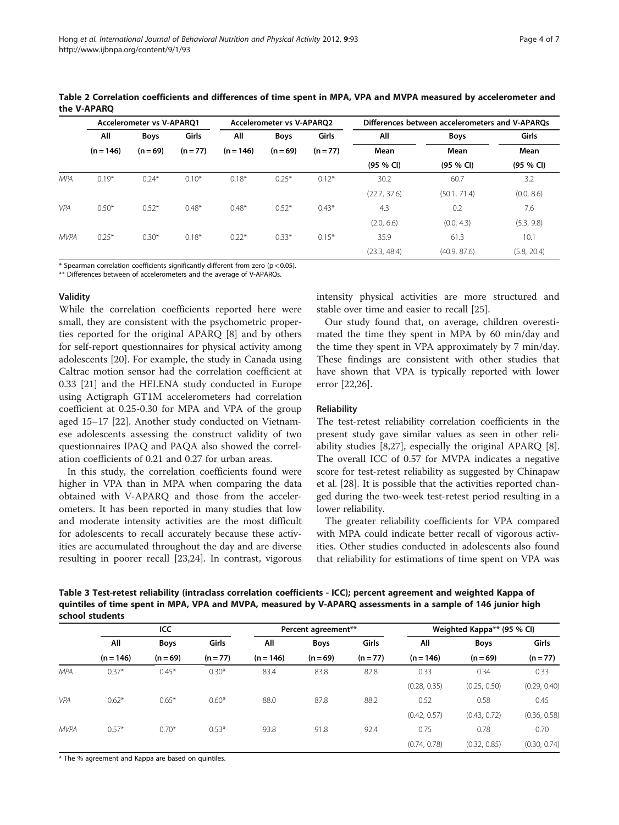|             | <b>Accelerometer vs V-APARQ1</b> |             |            | <b>Accelerometer vs V-APARQ2</b> |             |            | Differences between accelerometers and V-APAROs |              |             |  |
|-------------|----------------------------------|-------------|------------|----------------------------------|-------------|------------|-------------------------------------------------|--------------|-------------|--|
|             | All                              | <b>Boys</b> | Girls      | All                              | <b>Boys</b> | Girls      | All                                             | Boys         | Girls       |  |
|             | $(n = 146)$                      | $(n = 69)$  | $(n = 77)$ | $(n = 146)$                      | $(n = 69)$  | $(n = 77)$ | Mean                                            | Mean         | Mean        |  |
|             |                                  |             |            |                                  |             |            | (95 % CI)                                       | (95 % C)     | (95 % C)    |  |
| <b>MPA</b>  | $0.19*$                          | $0.24*$     | $0.10*$    | $0.18*$                          | $0.25*$     | $0.12*$    | 30.2                                            | 60.7         | 3.2         |  |
|             |                                  |             |            |                                  |             |            | (22.7, 37.6)                                    | (50.1, 71.4) | (0.0, 8.6)  |  |
| VPA         | $0.50*$                          | $0.52*$     | $0.48*$    | $0.48*$                          | $0.52*$     | $0.43*$    | 4.3                                             | 0.2          | 7.6         |  |
|             |                                  |             |            |                                  |             |            | (2.0, 6.6)                                      | (0.0, 4.3)   | (5.3, 9.8)  |  |
| <b>MVPA</b> | $0.25*$                          | $0.30*$     | $0.18*$    | $0.22*$                          | $0.33*$     | $0.15*$    | 35.9                                            | 61.3         | 10.1        |  |
|             |                                  |             |            |                                  |             |            | (23.3, 48.4)                                    | (40.9, 87.6) | (5.8, 20.4) |  |

<span id="page-3-0"></span>Table 2 Correlation coefficients and differences of time spent in MPA, VPA and MVPA measured by accelerometer and the V-APARQ

 $*$  Spearman correlation coefficients significantly different from zero (p < 0.05).

\*\* Differences between of accelerometers and the average of V-APARQs.

## Validity

While the correlation coefficients reported here were small, they are consistent with the psychometric properties reported for the original APARQ [[8](#page-5-0)] and by others for self-report questionnaires for physical activity among adolescents [[20](#page-6-0)]. For example, the study in Canada using Caltrac motion sensor had the correlation coefficient at 0.33 [[21\]](#page-6-0) and the HELENA study conducted in Europe using Actigraph GT1M accelerometers had correlation coefficient at 0.25-0.30 for MPA and VPA of the group aged 15–17 [[22\]](#page-6-0). Another study conducted on Vietnamese adolescents assessing the construct validity of two questionnaires IPAQ and PAQA also showed the correlation coefficients of 0.21 and 0.27 for urban areas.

In this study, the correlation coefficients found were higher in VPA than in MPA when comparing the data obtained with V-APARQ and those from the accelerometers. It has been reported in many studies that low and moderate intensity activities are the most difficult for adolescents to recall accurately because these activities are accumulated throughout the day and are diverse resulting in poorer recall [[23,24\]](#page-6-0). In contrast, vigorous intensity physical activities are more structured and stable over time and easier to recall [[25](#page-6-0)].

Our study found that, on average, children overestimated the time they spent in MPA by 60 min/day and the time they spent in VPA approximately by 7 min/day. These findings are consistent with other studies that have shown that VPA is typically reported with lower error [\[22,26](#page-6-0)].

#### Reliability

The test-retest reliability correlation coefficients in the present study gave similar values as seen in other reliability studies [[8](#page-5-0),[27](#page-6-0)], especially the original APARQ [\[8](#page-5-0)]. The overall ICC of 0.57 for MVPA indicates a negative score for test-retest reliability as suggested by Chinapaw et al. [[28\]](#page-6-0). It is possible that the activities reported changed during the two-week test-retest period resulting in a lower reliability.

The greater reliability coefficients for VPA compared with MPA could indicate better recall of vigorous activities. Other studies conducted in adolescents also found that reliability for estimations of time spent on VPA was

Table 3 Test-retest reliability (intraclass correlation coefficients - ICC); percent agreement and weighted Kappa of quintiles of time spent in MPA, VPA and MVPA, measured by V-APARQ assessments in a sample of 146 junior high school students

|             | -------------- |            |            |                     |             |            |                            |              |              |  |
|-------------|----------------|------------|------------|---------------------|-------------|------------|----------------------------|--------------|--------------|--|
|             | ICC            |            |            | Percent agreement** |             |            | Weighted Kappa** (95 % CI) |              |              |  |
|             | All            | Boys       | Girls      | All                 | <b>Boys</b> | Girls      | All                        | <b>Boys</b>  | Girls        |  |
|             | $(n = 146)$    | $(n = 69)$ | $(n = 77)$ | $(n = 146)$         | $(n = 69)$  | $(n = 77)$ | $(n = 146)$                | $(n = 69)$   | $(n = 77)$   |  |
| <b>MPA</b>  | $0.37*$        | $0.45*$    | $0.30*$    | 83.4                | 83.8        | 82.8       | 0.33                       | 0.34         | 0.33         |  |
|             |                |            |            |                     |             |            | (0.28, 0.35)               | (0.25, 0.50) | (0.29, 0.40) |  |
| <b>VPA</b>  | $0.62*$        | $0.65*$    | $0.60*$    | 88.0                | 87.8        | 88.2       | 0.52                       | 0.58         | 0.45         |  |
|             |                |            |            |                     |             |            | (0.42, 0.57)               | (0.43, 0.72) | (0.36, 0.58) |  |
| <b>MVPA</b> | $0.57*$        | $0.70*$    | $0.53*$    | 93.8                | 91.8        | 92.4       | 0.75                       | 0.78         | 0.70         |  |
|             |                |            |            |                     |             |            | (0.74, 0.78)               | (0.32, 0.85) | (0.30, 0.74) |  |

\* The % agreement and Kappa are based on quintiles.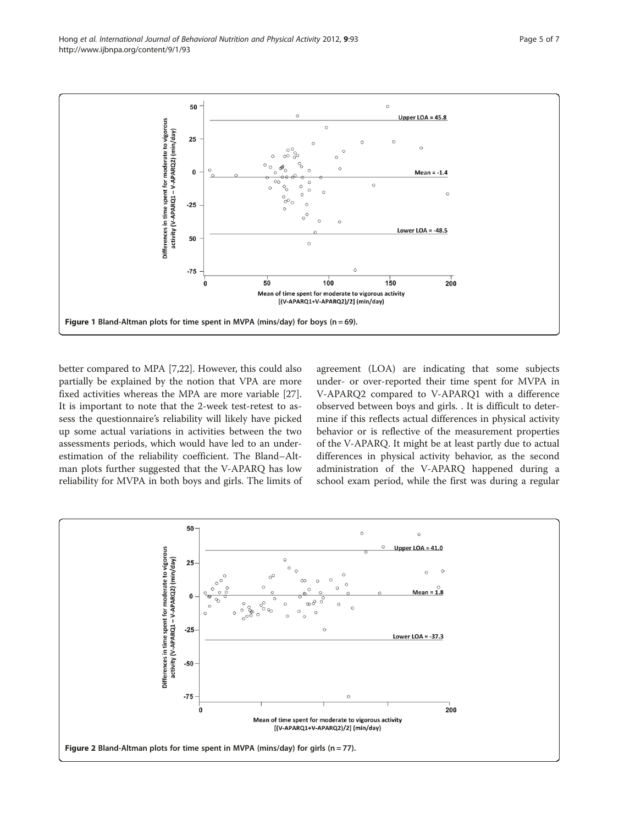better compared to MPA [\[7](#page-5-0)[,22](#page-6-0)]. However, this could also partially be explained by the notion that VPA are more fixed activities whereas the MPA are more variable [\[27](#page-6-0)]. It is important to note that the 2-week test-retest to assess the questionnaire's reliability will likely have picked up some actual variations in activities between the two assessments periods, which would have led to an underestimation of the reliability coefficient. The Bland–Altman plots further suggested that the V-APARQ has low reliability for MVPA in both boys and girls. The limits of

agreement (LOA) are indicating that some subjects under- or over-reported their time spent for MVPA in V-APARQ2 compared to V-APARQ1 with a difference observed between boys and girls. . It is difficult to determine if this reflects actual differences in physical activity behavior or is reflective of the measurement properties of the V-APARQ. It might be at least partly due to actual differences in physical activity behavior, as the second administration of the V-APARQ happened during a school exam period, while the first was during a regular



<span id="page-4-0"></span>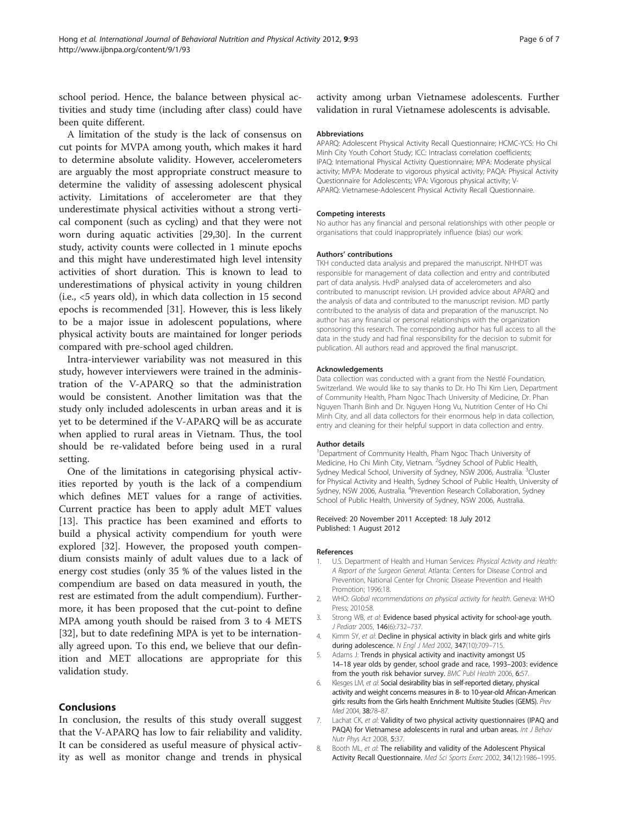<span id="page-5-0"></span>school period. Hence, the balance between physical activities and study time (including after class) could have been quite different.

A limitation of the study is the lack of consensus on cut points for MVPA among youth, which makes it hard to determine absolute validity. However, accelerometers are arguably the most appropriate construct measure to determine the validity of assessing adolescent physical activity. Limitations of accelerometer are that they underestimate physical activities without a strong vertical component (such as cycling) and that they were not worn during aquatic activities [\[29,30\]](#page-6-0). In the current study, activity counts were collected in 1 minute epochs and this might have underestimated high level intensity activities of short duration. This is known to lead to underestimations of physical activity in young children (i.e., <5 years old), in which data collection in 15 second epochs is recommended [\[31](#page-6-0)]. However, this is less likely to be a major issue in adolescent populations, where physical activity bouts are maintained for longer periods compared with pre-school aged children.

Intra-interviewer variability was not measured in this study, however interviewers were trained in the administration of the V-APARQ so that the administration would be consistent. Another limitation was that the study only included adolescents in urban areas and it is yet to be determined if the V-APARQ will be as accurate when applied to rural areas in Vietnam. Thus, the tool should be re-validated before being used in a rural setting.

One of the limitations in categorising physical activities reported by youth is the lack of a compendium which defines MET values for a range of activities. Current practice has been to apply adult MET values [[13\]](#page-6-0). This practice has been examined and efforts to build a physical activity compendium for youth were explored [[32](#page-6-0)]. However, the proposed youth compendium consists mainly of adult values due to a lack of energy cost studies (only 35 % of the values listed in the compendium are based on data measured in youth, the rest are estimated from the adult compendium). Furthermore, it has been proposed that the cut-point to define MPA among youth should be raised from 3 to 4 METS [[32\]](#page-6-0), but to date redefining MPA is yet to be internationally agreed upon. To this end, we believe that our definition and MET allocations are appropriate for this validation study.

## Conclusions

In conclusion, the results of this study overall suggest that the V-APARQ has low to fair reliability and validity. It can be considered as useful measure of physical activity as well as monitor change and trends in physical

activity among urban Vietnamese adolescents. Further validation in rural Vietnamese adolescents is advisable.

#### **Abbreviations**

APARQ: Adolescent Physical Activity Recall Questionnaire; HCMC-YCS: Ho Chi Minh City Youth Cohort Study; ICC: Intraclass correlation coefficients; IPAQ: International Physical Activity Questionnaire; MPA: Moderate physical activity; MVPA: Moderate to vigorous physical activity; PAQA: Physical Activity Questionnaire for Adolescents; VPA: Vigorous physical activity; V-APARQ: Vietnamese-Adolescent Physical Activity Recall Questionnaire.

#### Competing interests

No author has any financial and personal relationships with other people or organisations that could inappropriately influence (bias) our work.

#### Authors' contributions

TKH conducted data analysis and prepared the manuscript. NHHDT was responsible for management of data collection and entry and contributed part of data analysis. HvdP analysed data of accelerometers and also contributed to manuscript revision. LH provided advice about APARQ and the analysis of data and contributed to the manuscript revision. MD partly contributed to the analysis of data and preparation of the manuscript. No author has any financial or personal relationships with the organization sponsoring this research. The corresponding author has full access to all the data in the study and had final responsibility for the decision to submit for publication. All authors read and approved the final manuscript.

#### Acknowledgements

Data collection was conducted with a grant from the Nestlé Foundation, Switzerland. We would like to say thanks to Dr. Ho Thi Kim Lien, Department of Community Health, Pham Ngoc Thach University of Medicine, Dr. Phan Nguyen Thanh Binh and Dr. Nguyen Hong Vu, Nutrition Center of Ho Chi Minh City, and all data collectors for their enormous help in data collection, entry and cleaning for their helpful support in data collection and entry.

#### Author details

<sup>1</sup>Department of Community Health, Pham Ngoc Thach University of Medicine, Ho Chi Minh City, Vietnam. <sup>2</sup>Sydney School of Public Health Sydney Medical School, University of Sydney, NSW 2006, Australia. <sup>3</sup>Cluster for Physical Activity and Health, Sydney School of Public Health, University of Sydney, NSW 2006, Australia. <sup>4</sup>Prevention Research Collaboration, Sydney School of Public Health, University of Sydney, NSW 2006, Australia.

#### Received: 20 November 2011 Accepted: 18 July 2012 Published: 1 August 2012

#### References

- 1. U.S. Department of Health and Human Services: Physical Activity and Health: A Report of the Surgeon General. Atlanta: Centers for Disease Control and Prevention, National Center for Chronic Disease Prevention and Health Promotion; 1996:18.
- 2. WHO: Global recommendations on physical activity for health. Geneva: WHO Press; 2010:58.
- 3. Strong WB, et al: Evidence based physical activity for school-age youth. J Pediatr 2005, 146(6):732–737.
- 4. Kimm SY, et al: Decline in physical activity in black girls and white girls during adolescence. N Engl J Med 2002, 347(10):709–715.
- 5. Adams J: Trends in physical activity and inactivity amongst US 14–18 year olds by gender, school grade and race, 1993–2003: evidence from the youth risk behavior survey. BMC Publ Health 2006, 6:57.
- 6. Klesges LM, et al: Social desirability bias in self-reported dietary, physical activity and weight concerns measures in 8- to 10-year-old African-American girls: results from the Girls health Enrichment Multisite Studies (GEMS). Prev Med 2004, 38:78-87.
- 7. Lachat CK, et al: Validity of two physical activity questionnaires (IPAQ and PAQA) for Vietnamese adolescents in rural and urban areas. Int J Behave Nutr Phys Act 2008, 5:37.
- 8. Booth ML, et al: The reliability and validity of the Adolescent Physical Activity Recall Questionnaire. Med Sci Sports Exerc 2002, 34(12):1986–1995.